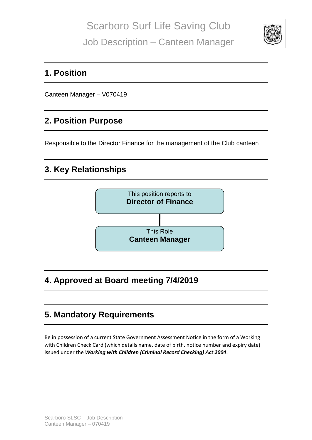

### **1. Position**

Canteen Manager – V070419

# **2. Position Purpose**

Responsible to the Director Finance for the management of the Club canteen

# **3. Key Relationships**



# **4. Approved at Board meeting 7/4/2019**

# **5. Mandatory Requirements**

Be in possession of a current State Government Assessment Notice in the form of a Working with Children Check Card (which details name, date of birth, notice number and expiry date) issued under the *Working with Children (Criminal Record Checking) Act 2004*.